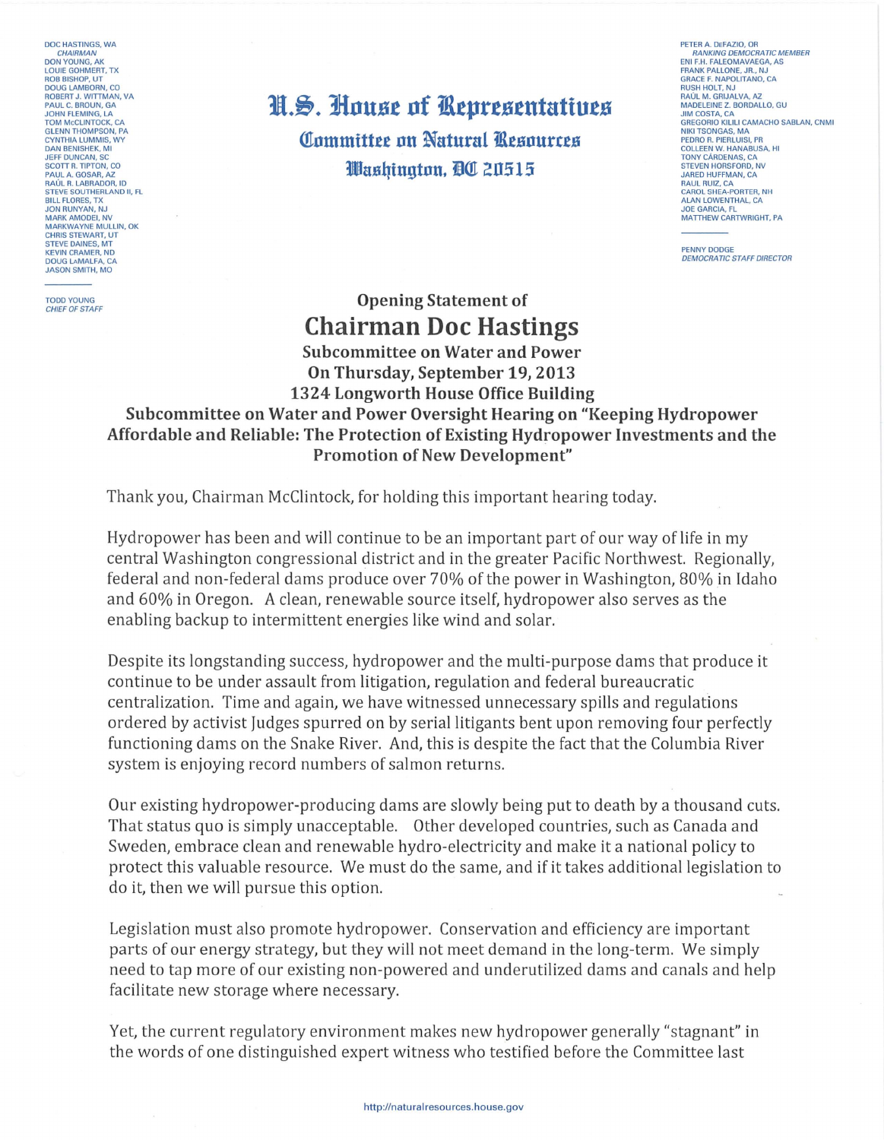**DOC HASTINGS, WA** CHAIRMAN **DON YOUNG, AK<br>LOUIE GOHMERT, TX EOR BISHOP, UT<br>ROB BISHOP, UT<br>DOUG LAMBORN, CO<br>ROBERT J. WITTMAN, VA<br>PAUL C. BROUN, GA JOHN ELEMING LA** TOM MCCLINTOCK, CA CYNTHIA LUMMIS WY DAN BENISHEK, MI<br>JEFF DUNCAN, SC **SCOTT R. TIPTON, CO** SCOTT N. HETON, CO<br>PAUL A. GOSAR, AZ<br>RAÚL R. LABRADOR, ID<br>STEVE SOUTHERLAND II, FL **BILL FLORES, TX** JON RUNYAN, NJ<br>MARK AMODEI, NV MARKWAYNE MULLIN, OK CHRIS STEWART LIT STEVE DAINES, MT<br>KEVIN CRAMER, ND **DOUG LAMALFA, CA JASON SMITH, MO** 

**TODD YOUNG** CHIEF OF STAFF

## H.S. House of Representatives **Committee on Natural Resources** Washinaton. AC 20515

PETER A. DEFAZIO, OR **BANKING DEMOCRATIC MEMBER ENTRANCE DEMOCRATIC MARKING DEMOCRATIC MARKING CRACK**<br>FRANK PALLONE, JR., NJ<br>GRACE F. NAPOLITANO, CA GRACE F. NAPOLITANO, CA<br>RUSH HOLT, NJ<br>RAÚL M. GRIJALVA, AZ<br>MADELEINE Z. BORDALLO, GU **JIM COSTA, CA** SIM COSTA, CA<br>GREGORIO KILILI CAMACHO SABLAN, CNMI<br>NIKI TSONGAS, MA PEDRO R PIERLUISI PR COLLEEN W. HANABUSA, HI **STEVEN HORSFORD, NV JARED HUFFMAN, CA** SANED HOFFMAN, CA<br>RAUL RUIZ, CA<br>CAROL SHEA-PORTER, NH **ALAN LOWENTHAL, CA** JOE GARCIA, FL<br>MATTHEW CARTWRIGHT, PA

PENNY DODGE **DEMOCRATIC STAFF DIRECTOR** 

## **Opening Statement of Chairman Doc Hastings**

**Subcommittee on Water and Power** On Thursday, September 19, 2013 1324 Longworth House Office Building

Subcommittee on Water and Power Oversight Hearing on "Keeping Hydropower Affordable and Reliable: The Protection of Existing Hydropower Investments and the **Promotion of New Development"** 

Thank you, Chairman McClintock, for holding this important hearing today.

Hydropower has been and will continue to be an important part of our way of life in my central Washington congressional district and in the greater Pacific Northwest. Regionally, federal and non-federal dams produce over 70% of the power in Washington, 80% in Idaho and 60% in Oregon. A clean, renewable source itself, hydropower also serves as the enabling backup to intermittent energies like wind and solar.

Despite its longstanding success, hydropower and the multi-purpose dams that produce it continue to be under assault from litigation, regulation and federal bureaucratic centralization. Time and again, we have witnessed unnecessary spills and regulations ordered by activist Judges spurred on by serial litigants bent upon removing four perfectly functioning dams on the Snake River. And, this is despite the fact that the Columbia River system is enjoying record numbers of salmon returns.

Our existing hydropower-producing dams are slowly being put to death by a thousand cuts. That status quo is simply unacceptable. Other developed countries, such as Canada and Sweden, embrace clean and renewable hydro-electricity and make it a national policy to protect this valuable resource. We must do the same, and if it takes additional legislation to do it, then we will pursue this option.

Legislation must also promote hydropower. Conservation and efficiency are important parts of our energy strategy, but they will not meet demand in the long-term. We simply need to tap more of our existing non-powered and underutilized dams and canals and help facilitate new storage where necessary.

Yet, the current regulatory environment makes new hydropower generally "stagnant" in the words of one distinguished expert witness who testified before the Committee last